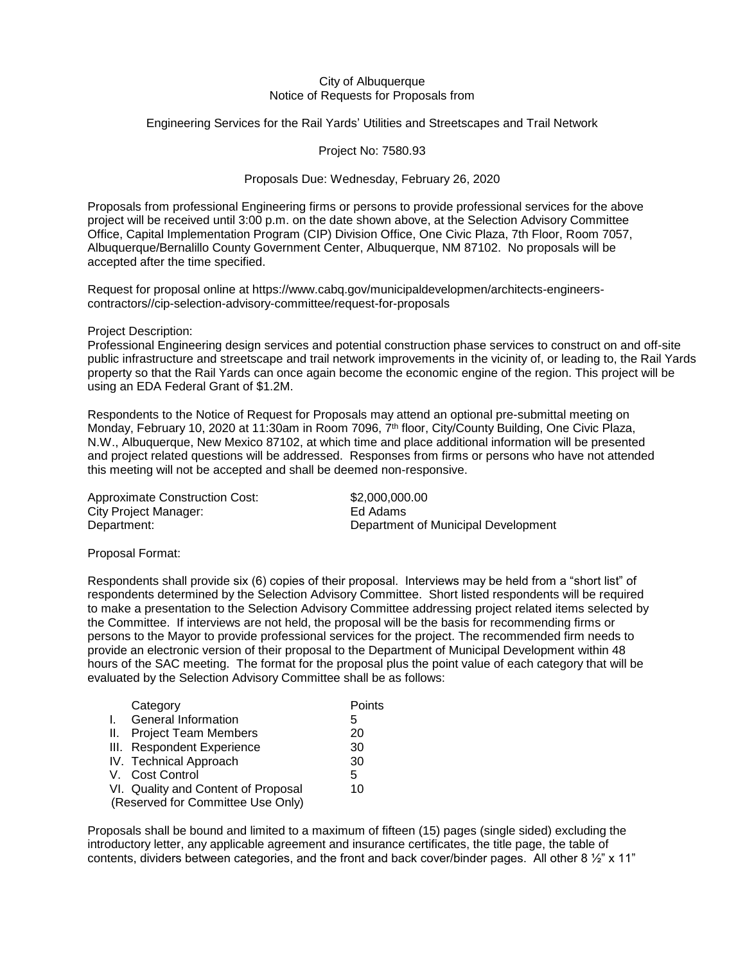## City of Albuquerque Notice of Requests for Proposals from

Engineering Services for the Rail Yards' Utilities and Streetscapes and Trail Network

Project No: 7580.93

## Proposals Due: Wednesday, February 26, 2020

Proposals from professional Engineering firms or persons to provide professional services for the above project will be received until 3:00 p.m. on the date shown above, at the Selection Advisory Committee Office, Capital Implementation Program (CIP) Division Office, One Civic Plaza, 7th Floor, Room 7057, Albuquerque/Bernalillo County Government Center, Albuquerque, NM 87102. No proposals will be accepted after the time specified.

Request for proposal online at https://www.cabq.gov/municipaldevelopmen/architects-engineerscontractors//cip-selection-advisory-committee/request-for-proposals

Project Description:

Professional Engineering design services and potential construction phase services to construct on and off-site public infrastructure and streetscape and trail network improvements in the vicinity of, or leading to, the Rail Yards property so that the Rail Yards can once again become the economic engine of the region. This project will be using an EDA Federal Grant of \$1.2M.

Respondents to the Notice of Request for Proposals may attend an optional pre-submittal meeting on Monday, February 10, 2020 at 11:30am in Room 7096, 7<sup>th</sup> floor, City/County Building, One Civic Plaza, N.W., Albuquerque, New Mexico 87102, at which time and place additional information will be presented and project related questions will be addressed. Responses from firms or persons who have not attended this meeting will not be accepted and shall be deemed non-responsive.

| <b>Approximate Construction Cost:</b> |  |
|---------------------------------------|--|
| <b>City Project Manager:</b>          |  |
| Department:                           |  |

\$2,000,000,00 Ed Adams Department of Municipal Development

Proposal Format:

Respondents shall provide six (6) copies of their proposal. Interviews may be held from a "short list" of respondents determined by the Selection Advisory Committee. Short listed respondents will be required to make a presentation to the Selection Advisory Committee addressing project related items selected by the Committee. If interviews are not held, the proposal will be the basis for recommending firms or persons to the Mayor to provide professional services for the project. The recommended firm needs to provide an electronic version of their proposal to the Department of Municipal Development within 48 hours of the SAC meeting. The format for the proposal plus the point value of each category that will be evaluated by the Selection Advisory Committee shall be as follows:

| Category                            | Points |
|-------------------------------------|--------|
| <b>General Information</b>          | 5      |
| II. Project Team Members            | 20     |
| III. Respondent Experience          | 30     |
| IV. Technical Approach              | 30     |
| V. Cost Control                     | 5      |
| VI. Quality and Content of Proposal | 10     |
| (Reserved for Committee Use Only)   |        |

Proposals shall be bound and limited to a maximum of fifteen (15) pages (single sided) excluding the introductory letter, any applicable agreement and insurance certificates, the title page, the table of contents, dividers between categories, and the front and back cover/binder pages. All other 8 ½" x 11"